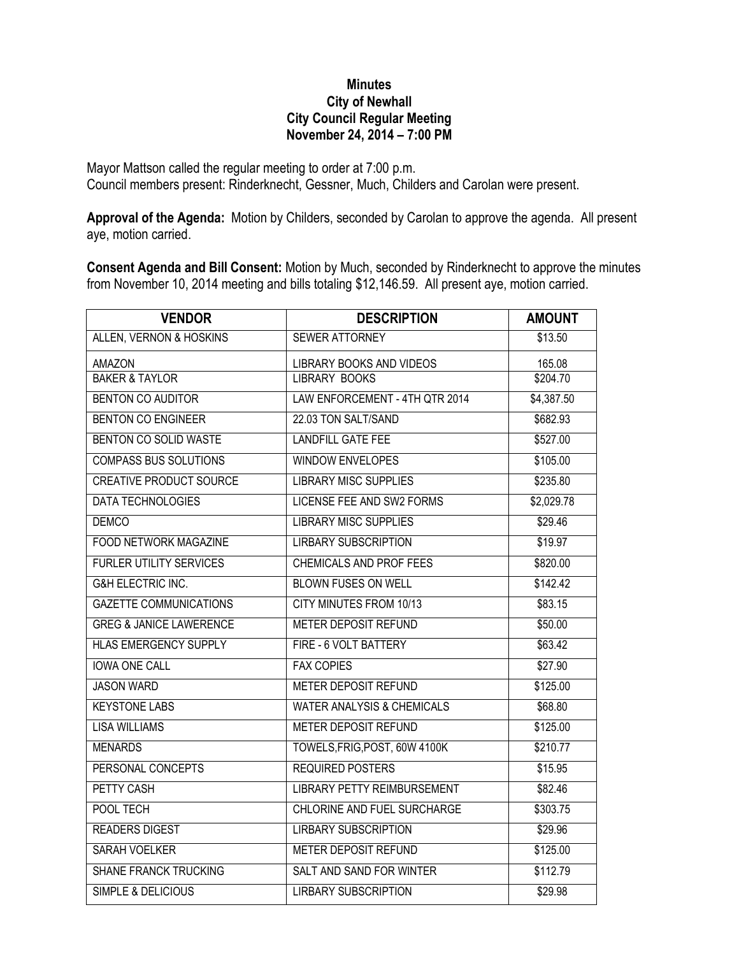## **Minutes City of Newhall City Council Regular Meeting November 24, 2014 – 7:00 PM**

Mayor Mattson called the regular meeting to order at 7:00 p.m. Council members present: Rinderknecht, Gessner, Much, Childers and Carolan were present.

**Approval of the Agenda:** Motion by Childers, seconded by Carolan to approve the agenda. All present aye, motion carried.

**Consent Agenda and Bill Consent:** Motion by Much, seconded by Rinderknecht to approve the minutes from November 10, 2014 meeting and bills totaling \$12,146.59. All present aye, motion carried.

| <b>VENDOR</b>                      | <b>DESCRIPTION</b>                    | <b>AMOUNT</b>        |
|------------------------------------|---------------------------------------|----------------------|
| ALLEN, VERNON & HOSKINS            | <b>SEWER ATTORNEY</b>                 | \$13.50              |
| <b>AMAZON</b>                      | LIBRARY BOOKS AND VIDEOS              | 165.08               |
| <b>BAKER &amp; TAYLOR</b>          | <b>LIBRARY BOOKS</b>                  | \$204.70             |
| <b>BENTON CO AUDITOR</b>           | LAW ENFORCEMENT - 4TH QTR 2014        | \$4,387.50           |
| <b>BENTON CO ENGINEER</b>          | 22.03 TON SALT/SAND                   | \$682.93             |
| BENTON CO SOLID WASTE              | <b>LANDFILL GATE FEE</b>              | \$527.00             |
| <b>COMPASS BUS SOLUTIONS</b>       | <b>WINDOW ENVELOPES</b>               | \$105.00             |
| <b>CREATIVE PRODUCT SOURCE</b>     | <b>LIBRARY MISC SUPPLIES</b>          | \$235.80             |
| <b>DATA TECHNOLOGIES</b>           | <b>LICENSE FEE AND SW2 FORMS</b>      | \$2,029.78           |
| <b>DEMCO</b>                       | <b>LIBRARY MISC SUPPLIES</b>          | \$29.46              |
| <b>FOOD NETWORK MAGAZINE</b>       | <b>LIRBARY SUBSCRIPTION</b>           | \$19.97              |
| <b>FURLER UTILITY SERVICES</b>     | <b>CHEMICALS AND PROF FEES</b>        | \$820.00             |
| <b>G&amp;H ELECTRIC INC.</b>       | <b>BLOWN FUSES ON WELL</b>            | \$142.42             |
| <b>GAZETTE COMMUNICATIONS</b>      | <b>CITY MINUTES FROM 10/13</b>        | \$83.15              |
| <b>GREG &amp; JANICE LAWERENCE</b> | METER DEPOSIT REFUND                  | \$50.00              |
| <b>HLAS EMERGENCY SUPPLY</b>       | FIRE - 6 VOLT BATTERY                 | \$63.42              |
| <b>IOWA ONE CALL</b>               | <b>FAX COPIES</b>                     | \$27.90              |
| <b>JASON WARD</b>                  | <b>METER DEPOSIT REFUND</b>           | \$125.00             |
| <b>KEYSTONE LABS</b>               | <b>WATER ANALYSIS &amp; CHEMICALS</b> | \$68.80              |
| <b>LISA WILLIAMS</b>               | <b>METER DEPOSIT REFUND</b>           | \$125.00             |
| <b>MENARDS</b>                     | TOWELS, FRIG, POST, 60W 4100K         | \$210.77             |
| PERSONAL CONCEPTS                  | <b>REQUIRED POSTERS</b>               | \$15.95              |
| PETTY CASH                         | <b>LIBRARY PETTY REIMBURSEMENT</b>    | \$82.46              |
| POOL TECH                          | CHLORINE AND FUEL SURCHARGE           | \$303.75             |
| <b>READERS DIGEST</b>              | <b>LIRBARY SUBSCRIPTION</b>           | \$29.96              |
| SARAH VOELKER                      | <b>METER DEPOSIT REFUND</b>           | \$125.00             |
| <b>SHANE FRANCK TRUCKING</b>       | SALT AND SAND FOR WINTER              | $\overline{$}112.79$ |
| SIMPLE & DELICIOUS                 | <b>LIRBARY SUBSCRIPTION</b>           | \$29.98              |